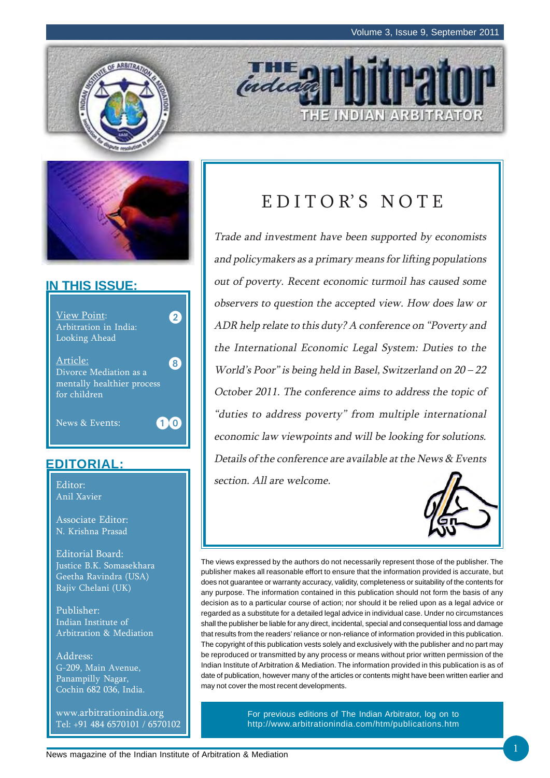THE INDIAN ARBITRATOR





#### **IN THIS ISSUE:**



#### **EDITORIAL:**

Anil Xavier

Associate Editor: N. Krishna Prasad

Editorial Board: Justice B.K. Somasekhara Geetha Ravindra (USA) Rajiv Chelani (UK)

Publisher: Indian Institute of Arbitration & Mediation

Address: G-209, Main Avenue, Panampilly Nagar, Cochin 682 036, India.

www.arbitrationindia.org Tel: +91 484 6570101 / 6570102

## EDITOR'S NOTE

**THE** 

Trade and investment have been supported by economists and policymakers as a primary means for lifting populations out of poverty. Recent economic turmoil has caused some observers to question the accepted view. How does law or ADR help relate to this duty? A conference on "Poverty and the International Economic Legal System: Duties to the World's Poor" is being held in Basel, Switzerland on 20 – 22 October 2011. The conference aims to address the topic of "duties to address poverty" from multiple international economic law viewpoints and will be looking for solutions. Details of the conference are available at the News & Events Editor: Editor: Editor: Editor: Editor: Editor: Editor: Editor: Editor: Editor: Editor: Editor: Editor: Editor:



The views expressed by the authors do not necessarily represent those of the publisher. The publisher makes all reasonable effort to ensure that the information provided is accurate, but does not guarantee or warranty accuracy, validity, completeness or suitability of the contents for any purpose. The information contained in this publication should not form the basis of any decision as to a particular course of action; nor should it be relied upon as a legal advice or regarded as a substitute for a detailed legal advice in individual case. Under no circumstances shall the publisher be liable for any direct, incidental, special and consequential loss and damage that results from the readers' reliance or non-reliance of information provided in this publication. The copyright of this publication vests solely and exclusively with the publisher and no part may be reproduced or transmitted by any process or means without prior written permission of the Indian Institute of Arbitration & Mediation. The information provided in this publication is as of date of publication, however many of the articles or contents might have been written earlier and may not cover the most recent developments.

> For previous editions of The Indian Arbitrator, log on to http://www.arbitrationindia.com/htm/publications.htm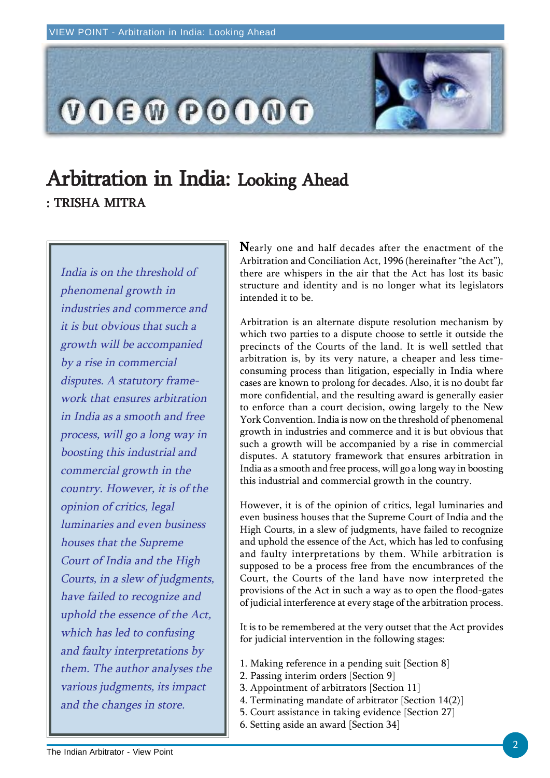

## Arbitration in India: Looking Ahead : TRISHA MITRA

India is on the threshold of phenomenal growth in industries and commerce and it is but obvious that such a growth will be accompanied by a rise in commercial disputes. A statutory framework that ensures arbitration in India as a smooth and free process, will go a long way in boosting this industrial and commercial growth in the country. However, it is of the opinion of critics, legal luminaries and even business houses that the Supreme Court of India and the High Courts, in a slew of judgments, have failed to recognize and uphold the essence of the Act, which has led to confusing and faulty interpretations by them. The author analyses the various judgments, its impact and the changes in store.

Nearly one and half decades after the enactment of the Arbitration and Conciliation Act, 1996 (hereinafter "the Act"), there are whispers in the air that the Act has lost its basic structure and identity and is no longer what its legislators intended it to be.

Arbitration is an alternate dispute resolution mechanism by which two parties to a dispute choose to settle it outside the precincts of the Courts of the land. It is well settled that arbitration is, by its very nature, a cheaper and less timeconsuming process than litigation, especially in India where cases are known to prolong for decades. Also, it is no doubt far more confidential, and the resulting award is generally easier to enforce than a court decision, owing largely to the New York Convention. India is now on the threshold of phenomenal growth in industries and commerce and it is but obvious that such a growth will be accompanied by a rise in commercial disputes. A statutory framework that ensures arbitration in India as a smooth and free process, will go a long way in boosting this industrial and commercial growth in the country.

However, it is of the opinion of critics, legal luminaries and even business houses that the Supreme Court of India and the High Courts, in a slew of judgments, have failed to recognize and uphold the essence of the Act, which has led to confusing and faulty interpretations by them. While arbitration is supposed to be a process free from the encumbrances of the Court, the Courts of the land have now interpreted the provisions of the Act in such a way as to open the flood-gates of judicial interference at every stage of the arbitration process.

It is to be remembered at the very outset that the Act provides for judicial intervention in the following stages:

- 1. Making reference in a pending suit [Section 8]
- 2. Passing interim orders [Section 9]
- 3. Appointment of arbitrators [Section 11]
- 4. Terminating mandate of arbitrator [Section 14(2)]
- 5. Court assistance in taking evidence [Section 27]
- 6. Setting aside an award [Section 34]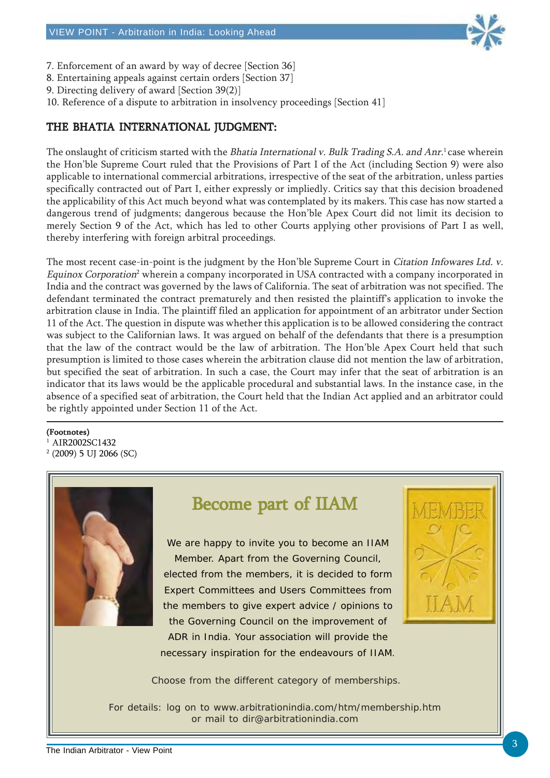

- 7. Enforcement of an award by way of decree [Section 36]
- 8. Entertaining appeals against certain orders [Section 37]
- 9. Directing delivery of award [Section 39(2)]
- 10. Reference of a dispute to arbitration in insolvency proceedings [Section 41]

#### THE BHATIA INTERNATIONAL JUDGMENT:

The onslaught of criticism started with the Bhatia International v. Bulk Trading S.A. and Anr.<sup>1</sup> case wherein the Hon'ble Supreme Court ruled that the Provisions of Part I of the Act (including Section 9) were also applicable to international commercial arbitrations, irrespective of the seat of the arbitration, unless parties specifically contracted out of Part I, either expressly or impliedly. Critics say that this decision broadened the applicability of this Act much beyond what was contemplated by its makers. This case has now started a dangerous trend of judgments; dangerous because the Hon'ble Apex Court did not limit its decision to merely Section 9 of the Act, which has led to other Courts applying other provisions of Part I as well, thereby interfering with foreign arbitral proceedings.

The most recent case-in-point is the judgment by the Hon'ble Supreme Court in Citation Infowares Ltd. v. Equinox Corporation<sup>2</sup> wherein a company incorporated in USA contracted with a company incorporated in India and the contract was governed by the laws of California. The seat of arbitration was not specified. The defendant terminated the contract prematurely and then resisted the plaintiff's application to invoke the arbitration clause in India. The plaintiff filed an application for appointment of an arbitrator under Section 11 of the Act. The question in dispute was whether this application is to be allowed considering the contract was subject to the Californian laws. It was argued on behalf of the defendants that there is a presumption that the law of the contract would be the law of arbitration. The Hon'ble Apex Court held that such presumption is limited to those cases wherein the arbitration clause did not mention the law of arbitration, but specified the seat of arbitration. In such a case, the Court may infer that the seat of arbitration is an indicator that its laws would be the applicable procedural and substantial laws. In the instance case, in the absence of a specified seat of arbitration, the Court held that the Indian Act applied and an arbitrator could be rightly appointed under Section 11 of the Act.

#### (Footnotes)

1 AIR2002SC1432 2 (2009) 5 UJ 2066 (SC)



### Become part of IIAM

We are happy to invite you to become an IIAM Member. Apart from the Governing Council, elected from the members, it is decided to form Expert Committees and Users Committees from the members to give expert advice / opinions to the Governing Council on the improvement of ADR in India. Your association will provide the necessary inspiration for the endeavours of IIAM.



Choose from the different category of memberships.

For details: log on to www.arbitrationindia.com/htm/membership.htm or mail to dir@arbitrationindia.com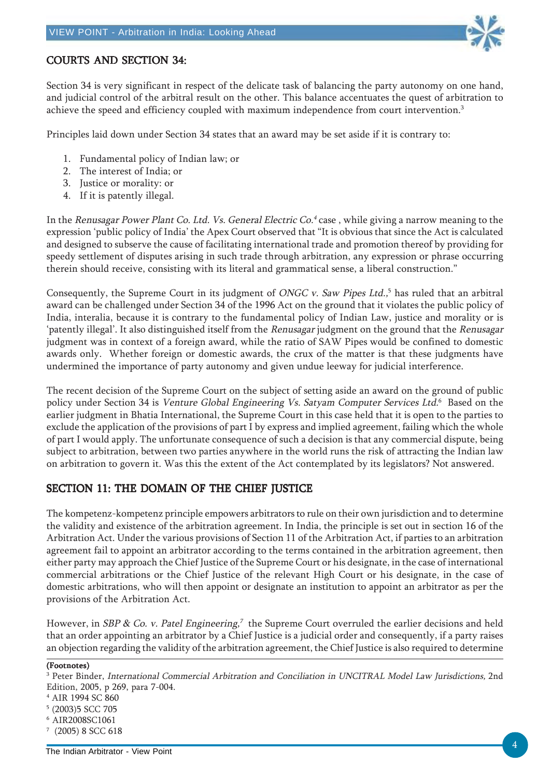

#### COURTS AND SECTION 34:

Section 34 is very significant in respect of the delicate task of balancing the party autonomy on one hand, and judicial control of the arbitral result on the other. This balance accentuates the quest of arbitration to achieve the speed and efficiency coupled with maximum independence from court intervention.<sup>3</sup>

Principles laid down under Section 34 states that an award may be set aside if it is contrary to:

- 1. Fundamental policy of Indian law; or
- 2. The interest of India; or
- 3. Justice or morality: or
- 4. If it is patently illegal.

In the Renusagar Power Plant Co. Ltd. Vs. General Electric Co.<sup>4</sup> case, while giving a narrow meaning to the expression 'public policy of India' the Apex Court observed that "It is obvious that since the Act is calculated and designed to subserve the cause of facilitating international trade and promotion thereof by providing for speedy settlement of disputes arising in such trade through arbitration, any expression or phrase occurring therein should receive, consisting with its literal and grammatical sense, a liberal construction."

Consequently, the Supreme Court in its judgment of *ONGC v. Saw Pipes Ltd.,*<sup>5</sup> has ruled that an arbitral award can be challenged under Section 34 of the 1996 Act on the ground that it violates the public policy of India, interalia, because it is contrary to the fundamental policy of Indian Law, justice and morality or is 'patently illegal'. It also distinguished itself from the Renusagar judgment on the ground that the Renusagar judgment was in context of a foreign award, while the ratio of SAW Pipes would be confined to domestic awards only. Whether foreign or domestic awards, the crux of the matter is that these judgments have undermined the importance of party autonomy and given undue leeway for judicial interference.

The recent decision of the Supreme Court on the subject of setting aside an award on the ground of public policy under Section 34 is *Venture Global Engineering Vs. Satyam Computer Services Ltd.*6 Based on the earlier judgment in Bhatia International, the Supreme Court in this case held that it is open to the parties to exclude the application of the provisions of part I by express and implied agreement, failing which the whole of part I would apply. The unfortunate consequence of such a decision is that any commercial dispute, being subject to arbitration, between two parties anywhere in the world runs the risk of attracting the Indian law on arbitration to govern it. Was this the extent of the Act contemplated by its legislators? Not answered.

#### SECTION 11: THE DOMAIN OF THE CHIEF JUSTICE

The kompetenz-kompetenz principle empowers arbitrators to rule on their own jurisdiction and to determine the validity and existence of the arbitration agreement. In India, the principle is set out in section 16 of the Arbitration Act. Under the various provisions of Section 11 of the Arbitration Act, if parties to an arbitration agreement fail to appoint an arbitrator according to the terms contained in the arbitration agreement, then either party may approach the Chief Justice of the Supreme Court or his designate, in the case of international commercial arbitrations or the Chief Justice of the relevant High Court or his designate, in the case of domestic arbitrations, who will then appoint or designate an institution to appoint an arbitrator as per the provisions of the Arbitration Act.

However, in SBP & Co. v. Patel Engineering,<sup>7</sup> the Supreme Court overruled the earlier decisions and held that an order appointing an arbitrator by a Chief Justice is a judicial order and consequently, if a party raises an objection regarding the validity of the arbitration agreement, the Chief Justice is also required to determine

#### (Footnotes)

<sup>3</sup> Peter Binder, International Commercial Arbitration and Conciliation in UNCITRAL Model Law Jurisdictions, 2nd Edition, 2005, p 269, para 7-004.

<sup>4</sup> AIR 1994 SC 860

<sup>5</sup> (2003)5 SCC 705

<sup>6</sup> AIR2008SC1061

<sup>7</sup> (2005) 8 SCC 618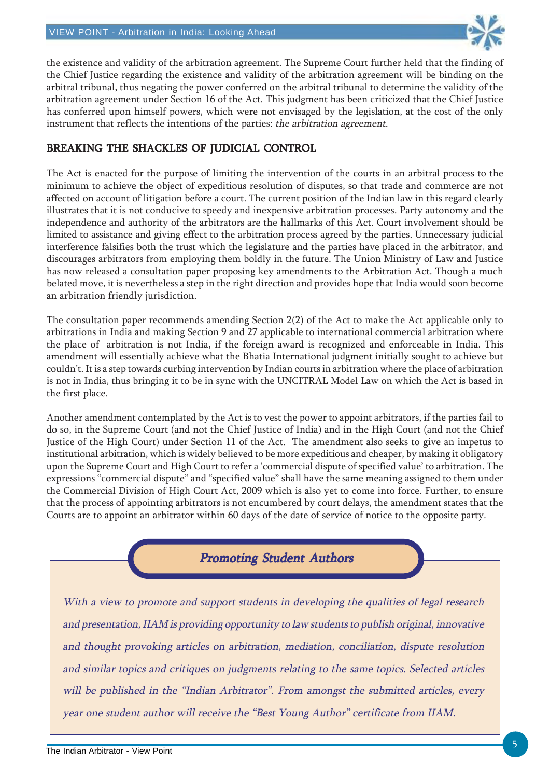

the existence and validity of the arbitration agreement. The Supreme Court further held that the finding of the Chief Justice regarding the existence and validity of the arbitration agreement will be binding on the arbitral tribunal, thus negating the power conferred on the arbitral tribunal to determine the validity of the arbitration agreement under Section 16 of the Act. This judgment has been criticized that the Chief Justice has conferred upon himself powers, which were not envisaged by the legislation, at the cost of the only instrument that reflects the intentions of the parties: the arbitration agreement.

#### BREAKING THE SHACKLES OF JUDICIAL CONTROL

The Act is enacted for the purpose of limiting the intervention of the courts in an arbitral process to the minimum to achieve the object of expeditious resolution of disputes, so that trade and commerce are not affected on account of litigation before a court. The current position of the Indian law in this regard clearly illustrates that it is not conducive to speedy and inexpensive arbitration processes. Party autonomy and the independence and authority of the arbitrators are the hallmarks of this Act. Court involvement should be limited to assistance and giving effect to the arbitration process agreed by the parties. Unnecessary judicial interference falsifies both the trust which the legislature and the parties have placed in the arbitrator, and discourages arbitrators from employing them boldly in the future. The Union Ministry of Law and Justice has now released a consultation paper proposing key amendments to the Arbitration Act. Though a much belated move, it is nevertheless a step in the right direction and provides hope that India would soon become an arbitration friendly jurisdiction.

The consultation paper recommends amending Section 2(2) of the Act to make the Act applicable only to arbitrations in India and making Section 9 and 27 applicable to international commercial arbitration where the place of arbitration is not India, if the foreign award is recognized and enforceable in India. This amendment will essentially achieve what the Bhatia International judgment initially sought to achieve but couldn't. It is a step towards curbing intervention by Indian courts in arbitration where the place of arbitration is not in India, thus bringing it to be in sync with the UNCITRAL Model Law on which the Act is based in the first place.

Another amendment contemplated by the Act is to vest the power to appoint arbitrators, if the parties fail to do so, in the Supreme Court (and not the Chief Justice of India) and in the High Court (and not the Chief Justice of the High Court) under Section 11 of the Act. The amendment also seeks to give an impetus to institutional arbitration, which is widely believed to be more expeditious and cheaper, by making it obligatory upon the Supreme Court and High Court to refer a 'commercial dispute of specified value' to arbitration. The expressions "commercial dispute" and "specified value" shall have the same meaning assigned to them under the Commercial Division of High Court Act, 2009 which is also yet to come into force. Further, to ensure that the process of appointing arbitrators is not encumbered by court delays, the amendment states that the Courts are to appoint an arbitrator within 60 days of the date of service of notice to the opposite party.

#### **Promoting Student Authors**

With a view to promote and support students in developing the qualities of legal research and presentation, IIAM is providing opportunity to law students to publish original, innovative and thought provoking articles on arbitration, mediation, conciliation, dispute resolution and similar topics and critiques on judgments relating to the same topics. Selected articles will be published in the "Indian Arbitrator". From amongst the submitted articles, every year one student author will receive the "Best Young Author" certificate from IIAM.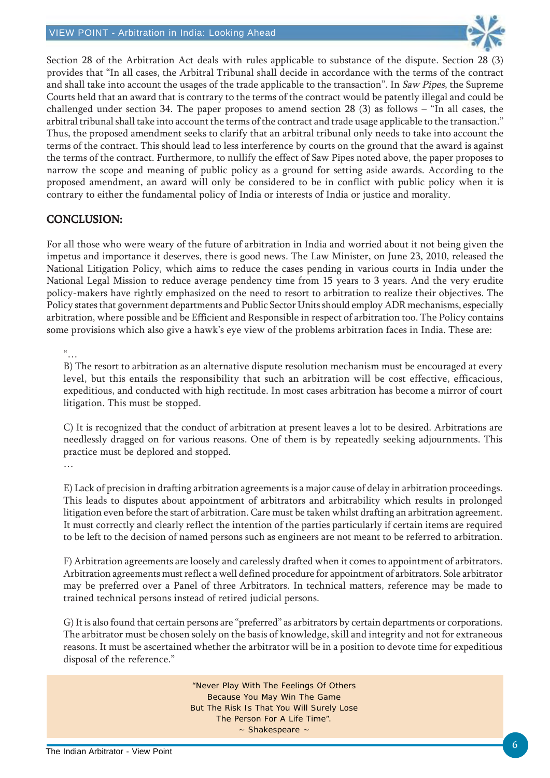

Section 28 of the Arbitration Act deals with rules applicable to substance of the dispute. Section 28 (3) provides that "In all cases, the Arbitral Tribunal shall decide in accordance with the terms of the contract and shall take into account the usages of the trade applicable to the transaction". In Saw Pipes, the Supreme Courts held that an award that is contrary to the terms of the contract would be patently illegal and could be challenged under section 34. The paper proposes to amend section 28  $(3)$  as follows – "In all cases, the arbitral tribunal shall take into account the terms of the contract and trade usage applicable to the transaction." Thus, the proposed amendment seeks to clarify that an arbitral tribunal only needs to take into account the terms of the contract. This should lead to less interference by courts on the ground that the award is against the terms of the contract. Furthermore, to nullify the effect of Saw Pipes noted above, the paper proposes to narrow the scope and meaning of public policy as a ground for setting aside awards. According to the proposed amendment, an award will only be considered to be in conflict with public policy when it is contrary to either the fundamental policy of India or interests of India or justice and morality.

#### CONCLUSION: CONCLUSION:

For all those who were weary of the future of arbitration in India and worried about it not being given the impetus and importance it deserves, there is good news. The Law Minister, on June 23, 2010, released the National Litigation Policy, which aims to reduce the cases pending in various courts in India under the National Legal Mission to reduce average pendency time from 15 years to 3 years. And the very erudite policy-makers have rightly emphasized on the need to resort to arbitration to realize their objectives. The Policy states that government departments and Public Sector Units should employ ADR mechanisms, especially arbitration, where possible and be Efficient and Responsible in respect of arbitration too. The Policy contains some provisions which also give a hawk's eye view of the problems arbitration faces in India. These are:

"…

B) The resort to arbitration as an alternative dispute resolution mechanism must be encouraged at every level, but this entails the responsibility that such an arbitration will be cost effective, efficacious, expeditious, and conducted with high rectitude. In most cases arbitration has become a mirror of court litigation. This must be stopped.

C) It is recognized that the conduct of arbitration at present leaves a lot to be desired. Arbitrations are needlessly dragged on for various reasons. One of them is by repeatedly seeking adjournments. This practice must be deplored and stopped. …

E) Lack of precision in drafting arbitration agreements is a major cause of delay in arbitration proceedings. This leads to disputes about appointment of arbitrators and arbitrability which results in prolonged litigation even before the start of arbitration. Care must be taken whilst drafting an arbitration agreement. It must correctly and clearly reflect the intention of the parties particularly if certain items are required to be left to the decision of named persons such as engineers are not meant to be referred to arbitration.

F) Arbitration agreements are loosely and carelessly drafted when it comes to appointment of arbitrators. Arbitration agreements must reflect a well defined procedure for appointment of arbitrators. Sole arbitrator may be preferred over a Panel of three Arbitrators. In technical matters, reference may be made to trained technical persons instead of retired judicial persons.

G) It is also found that certain persons are "preferred" as arbitrators by certain departments or corporations. The arbitrator must be chosen solely on the basis of knowledge, skill and integrity and not for extraneous reasons. It must be ascertained whether the arbitrator will be in a position to devote time for expeditious disposal of the reference."

> "Never Play With The Feelings Of Others Because You May Win The Game But The Risk Is That You Will Surely Lose The Person For A Life Time". ~ Shakespeare ~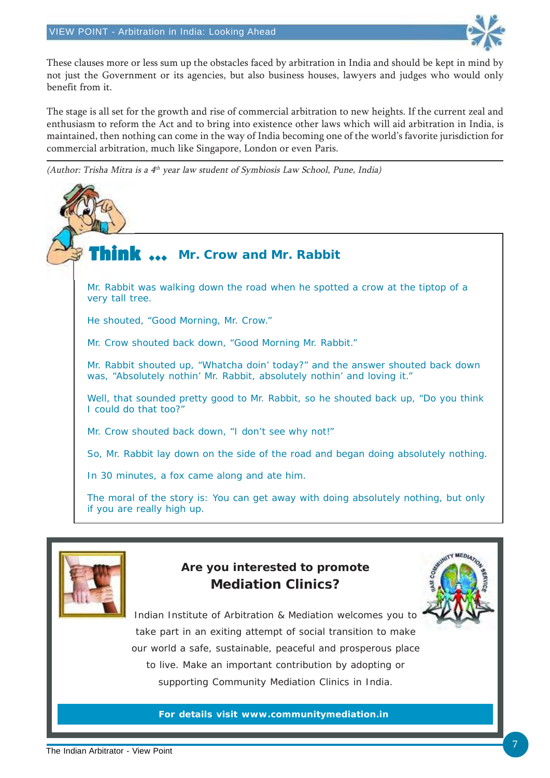

These clauses more or less sum up the obstacles faced by arbitration in India and should be kept in mind by not just the Government or its agencies, but also business houses, lawyers and judges who would only benefit from it.

The stage is all set for the growth and rise of commercial arbitration to new heights. If the current zeal and enthusiasm to reform the Act and to bring into existence other laws which will aid arbitration in India, is maintained, then nothing can come in the way of India becoming one of the world's favorite jurisdiction for commercial arbitration, much like Singapore, London or even Paris.

(Author: Trisha Mitra is a  $4<sup>th</sup>$  year law student of Symbiosis Law School, Pune, India)



Mr. Rabbit was walking down the road when he spotted a crow at the tiptop of a very tall tree.

He shouted, "Good Morning, Mr. Crow."

Mr. Crow shouted back down, "Good Morning Mr. Rabbit."

Mr. Rabbit shouted up, "Whatcha doin' today?" and the answer shouted back down was, "Absolutely nothin' Mr. Rabbit, absolutely nothin' and loving it."

Well, that sounded pretty good to Mr. Rabbit, so he shouted back up, "Do you think I could do that too?"

Mr. Crow shouted back down, "I don't see why not!"

So, Mr. Rabbit lay down on the side of the road and began doing absolutely nothing.

In 30 minutes, a fox came along and ate him.

The moral of the story is: You can get away with doing absolutely nothing, but only if you are really high up.



#### **Are you interested to promote Mediation Clinics?**



Indian Institute of Arbitration & Mediation welcomes you to take part in an exiting attempt of social transition to make our world a safe, sustainable, peaceful and prosperous place to live. Make an important contribution by adopting or supporting Community Mediation Clinics in India.

**For details visit www.communitymediation.in**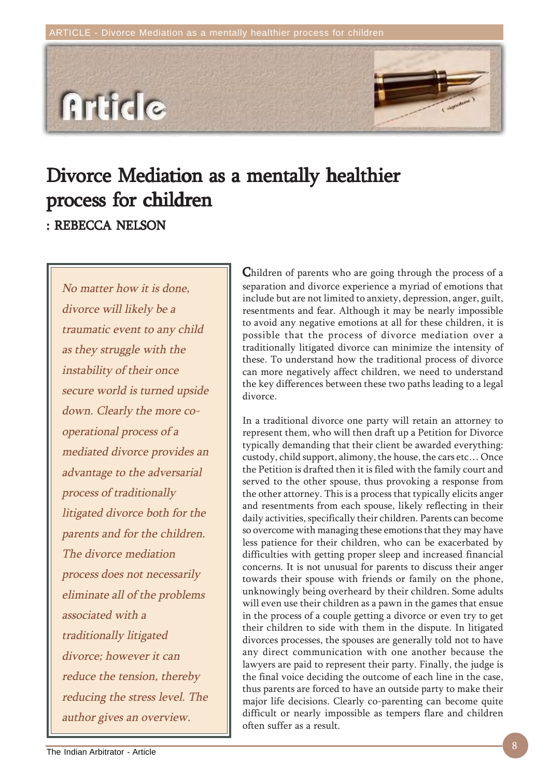

# Divorce Mediation as a mentally healthier process for children

: REBECCA NELSON

No matter how it is done, divorce will likely be a traumatic event to any child as they struggle with the instability of their once secure world is turned upside down. Clearly the more cooperational process of a mediated divorce provides an advantage to the adversarial process of traditionally litigated divorce both for the parents and for the children. The divorce mediation process does not necessarily eliminate all of the problems associated with a traditionally litigated divorce; however it can reduce the tension, thereby reducing the stress level. The author gives an overview.

Children of parents who are going through the process of a separation and divorce experience a myriad of emotions that include but are not limited to anxiety, depression, anger, guilt, resentments and fear. Although it may be nearly impossible to avoid any negative emotions at all for these children, it is possible that the process of divorce mediation over a traditionally litigated divorce can minimize the intensity of these. To understand how the traditional process of divorce can more negatively affect children, we need to understand the key differences between these two paths leading to a legal divorce.

In a traditional divorce one party will retain an attorney to represent them, who will then draft up a Petition for Divorce typically demanding that their client be awarded everything: custody, child support, alimony, the house, the cars etc… Once the Petition is drafted then it is filed with the family court and served to the other spouse, thus provoking a response from the other attorney. This is a process that typically elicits anger and resentments from each spouse, likely reflecting in their daily activities, specifically their children. Parents can become so overcome with managing these emotions that they may have less patience for their children, who can be exacerbated by difficulties with getting proper sleep and increased financial concerns. It is not unusual for parents to discuss their anger towards their spouse with friends or family on the phone, unknowingly being overheard by their children. Some adults will even use their children as a pawn in the games that ensue in the process of a couple getting a divorce or even try to get their children to side with them in the dispute. In litigated divorces processes, the spouses are generally told not to have any direct communication with one another because the lawyers are paid to represent their party. Finally, the judge is the final voice deciding the outcome of each line in the case, thus parents are forced to have an outside party to make their major life decisions. Clearly co-parenting can become quite difficult or nearly impossible as tempers flare and children often suffer as a result.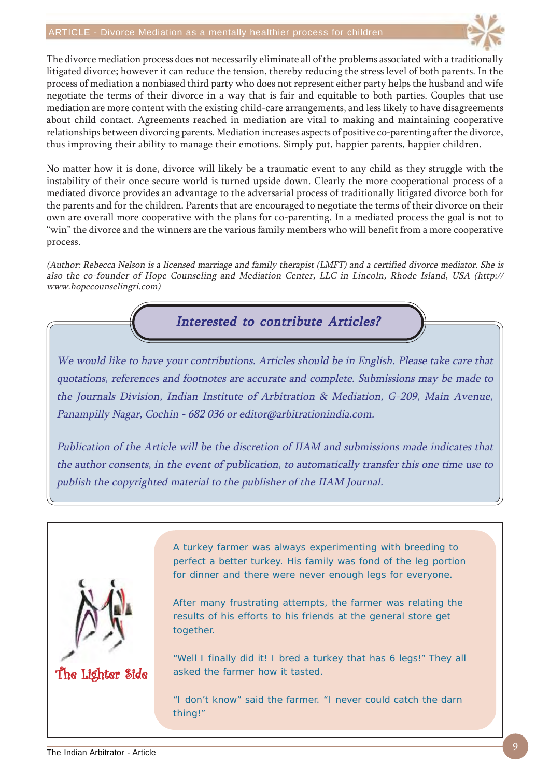#### ARTICLE - Divorce Mediation as a mentally healthier process for children



The divorce mediation process does not necessarily eliminate all of the problems associated with a traditionally litigated divorce; however it can reduce the tension, thereby reducing the stress level of both parents. In the process of mediation a nonbiased third party who does not represent either party helps the husband and wife negotiate the terms of their divorce in a way that is fair and equitable to both parties. Couples that use mediation are more content with the existing child-care arrangements, and less likely to have disagreements about child contact. Agreements reached in mediation are vital to making and maintaining cooperative relationships between divorcing parents. Mediation increases aspects of positive co-parenting after the divorce, thus improving their ability to manage their emotions. Simply put, happier parents, happier children.

No matter how it is done, divorce will likely be a traumatic event to any child as they struggle with the instability of their once secure world is turned upside down. Clearly the more cooperational process of a mediated divorce provides an advantage to the adversarial process of traditionally litigated divorce both for the parents and for the children. Parents that are encouraged to negotiate the terms of their divorce on their own are overall more cooperative with the plans for co-parenting. In a mediated process the goal is not to "win" the divorce and the winners are the various family members who will benefit from a more cooperative process.

(Author: Rebecca Nelson is a licensed marriage and family therapist (LMFT) and a certified divorce mediator. She is also the co-founder of Hope Counseling and Mediation Center, LLC in Lincoln, Rhode Island, USA (http:// www.hopecounselingri.com)

Interested to contribute Articles?

We would like to have your contributions. Articles should be in English. Please take care that quotations, references and footnotes are accurate and complete. Submissions may be made to the Journals Division, Indian Institute of Arbitration & Mediation, G-209, Main Avenue, Panampilly Nagar, Cochin - 682 036 or editor@arbitrationindia.com.

Publication of the Article will be the discretion of IIAM and submissions made indicates that the author consents, in the event of publication, to automatically transfer this one time use to publish the copyrighted material to the publisher of the IIAM Journal.



A turkey farmer was always experimenting with breeding to perfect a better turkey. His family was fond of the leg portion for dinner and there were never enough legs for everyone.

After many frustrating attempts, the farmer was relating the results of his efforts to his friends at the general store get together.

"Well I finally did it! I bred a turkey that has 6 legs!" They all asked the farmer how it tasted.

"I don't know" said the farmer. "I never could catch the darn thing!"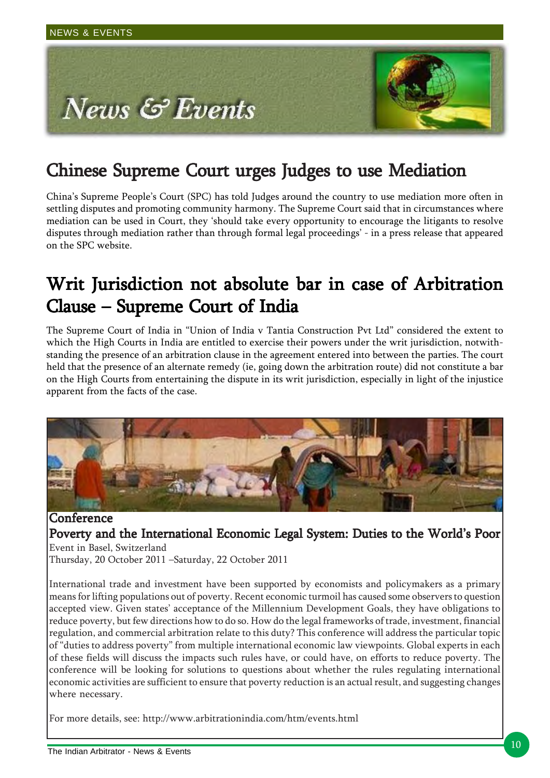

### Chinese Supreme Court urges Judges to use Mediation

China's Supreme People's Court (SPC) has told Judges around the country to use mediation more often in settling disputes and promoting community harmony. The Supreme Court said that in circumstances where mediation can be used in Court, they 'should take every opportunity to encourage the litigants to resolve disputes through mediation rather than through formal legal proceedings' - in a press release that appeared on the SPC website.

### Writ Jurisdiction not absolute bar in case of Arbitration Clause – Supreme Court of India

The Supreme Court of India in "Union of India v Tantia Construction Pvt Ltd" considered the extent to which the High Courts in India are entitled to exercise their powers under the writ jurisdiction, notwithstanding the presence of an arbitration clause in the agreement entered into between the parties. The court held that the presence of an alternate remedy (ie, going down the arbitration route) did not constitute a bar on the High Courts from entertaining the dispute in its writ jurisdiction, especially in light of the injustice apparent from the facts of the case.



**Conference** Poverty and the International Economic Legal System: Duties to the World's Poor Event in Basel, Switzerland Thursday, 20 October 2011 –Saturday, 22 October 2011

International trade and investment have been supported by economists and policymakers as a primary means for lifting populations out of poverty. Recent economic turmoil has caused some observers to question accepted view. Given states' acceptance of the Millennium Development Goals, they have obligations to reduce poverty, but few directions how to do so. How do the legal frameworks of trade, investment, financial regulation, and commercial arbitration relate to this duty? This conference will address the particular topic of "duties to address poverty" from multiple international economic law viewpoints. Global experts in each of these fields will discuss the impacts such rules have, or could have, on efforts to reduce poverty. The conference will be looking for solutions to questions about whether the rules regulating international economic activities are sufficient to ensure that poverty reduction is an actual result, and suggesting changes where necessary.

For more details, see: http://www.arbitrationindia.com/htm/events.html